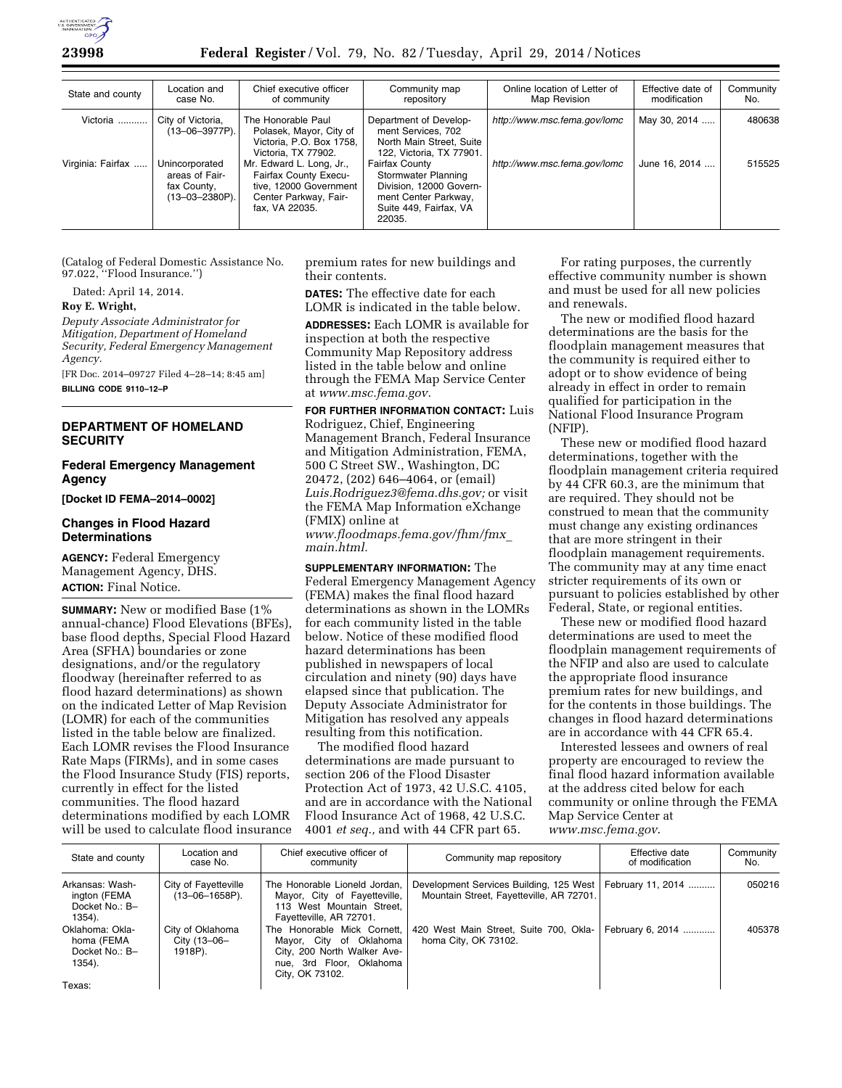

| State and county  | Location and<br>case No.                                                 | Chief executive officer<br>of community                                                                                       | Community map<br>repository                                                                                                         | Online location of Letter of<br>Map Revision | Effective date of<br>modification | Community<br>No. |
|-------------------|--------------------------------------------------------------------------|-------------------------------------------------------------------------------------------------------------------------------|-------------------------------------------------------------------------------------------------------------------------------------|----------------------------------------------|-----------------------------------|------------------|
| Victoria          | City of Victoria,<br>$(13 - 06 - 3977P)$ .                               | The Honorable Paul<br>Polasek, Mayor, City of<br>Victoria, P.O. Box 1758,<br>Victoria. TX 77902.                              | Department of Develop-<br>ment Services, 702<br>North Main Street, Suite<br>122, Victoria, TX 77901.                                | http://www.msc.fema.gov/lomc                 | May 30, 2014                      | 480638           |
| Virginia: Fairfax | Unincorporated<br>areas of Fair-<br>fax County.<br>$(13 - 03 - 2380P)$ . | Mr. Edward L. Long, Jr.,<br><b>Fairfax County Execu-</b><br>tive. 12000 Government<br>Center Parkway, Fair-<br>fax, VA 22035. | <b>Fairfax County</b><br>Stormwater Planning<br>Division. 12000 Govern-<br>ment Center Parkway,<br>Suite 449, Fairfax, VA<br>22035. | http://www.msc.fema.gov/lomc                 | June 16, 2014                     | 515525           |

(Catalog of Federal Domestic Assistance No. 97.022, ''Flood Insurance.'')

Dated: April 14, 2014.

## **Roy E. Wright,**

*Deputy Associate Administrator for Mitigation, Department of Homeland Security, Federal Emergency Management Agency.* 

[FR Doc. 2014–09727 Filed 4–28–14; 8:45 am] **BILLING CODE 9110–12–P** 

# **DEPARTMENT OF HOMELAND SECURITY**

## **Federal Emergency Management Agency**

**[Docket ID FEMA–2014–0002]** 

#### **Changes in Flood Hazard Determinations**

**AGENCY:** Federal Emergency Management Agency, DHS. **ACTION:** Final Notice.

**SUMMARY:** New or modified Base (1% annual-chance) Flood Elevations (BFEs), base flood depths, Special Flood Hazard Area (SFHA) boundaries or zone designations, and/or the regulatory floodway (hereinafter referred to as flood hazard determinations) as shown on the indicated Letter of Map Revision (LOMR) for each of the communities listed in the table below are finalized. Each LOMR revises the Flood Insurance Rate Maps (FIRMs), and in some cases the Flood Insurance Study (FIS) reports, currently in effect for the listed communities. The flood hazard determinations modified by each LOMR will be used to calculate flood insurance premium rates for new buildings and their contents.

**DATES:** The effective date for each LOMR is indicated in the table below.

**ADDRESSES:** Each LOMR is available for inspection at both the respective Community Map Repository address listed in the table below and online through the FEMA Map Service Center at *[www.msc.fema.gov.](http://www.msc.fema.gov)* 

**FOR FURTHER INFORMATION CONTACT:** Luis Rodriguez, Chief, Engineering Management Branch, Federal Insurance and Mitigation Administration, FEMA, 500 C Street SW., Washington, DC 20472, (202) 646–4064, or (email) *[Luis.Rodriguez3@fema.dhs.gov;](mailto:Luis.Rodriguez3@fema.dhs.gov)* or visit the FEMA Map Information eXchange (FMIX) online at *[www.floodmaps.fema.gov/fhm/fmx](http://www.floodmaps.fema.gov/fhm/fmx_main.html)*\_ *[main.html.](http://www.floodmaps.fema.gov/fhm/fmx_main.html)* 

**SUPPLEMENTARY INFORMATION:** The Federal Emergency Management Agency (FEMA) makes the final flood hazard determinations as shown in the LOMRs for each community listed in the table below. Notice of these modified flood hazard determinations has been published in newspapers of local circulation and ninety (90) days have elapsed since that publication. The Deputy Associate Administrator for Mitigation has resolved any appeals resulting from this notification.

The modified flood hazard determinations are made pursuant to section 206 of the Flood Disaster Protection Act of 1973, 42 U.S.C. 4105, and are in accordance with the National Flood Insurance Act of 1968, 42 U.S.C. 4001 *et seq.,* and with 44 CFR part 65.

For rating purposes, the currently effective community number is shown and must be used for all new policies and renewals.

The new or modified flood hazard determinations are the basis for the floodplain management measures that the community is required either to adopt or to show evidence of being already in effect in order to remain qualified for participation in the National Flood Insurance Program (NFIP).

These new or modified flood hazard determinations, together with the floodplain management criteria required by 44 CFR 60.3, are the minimum that are required. They should not be construed to mean that the community must change any existing ordinances that are more stringent in their floodplain management requirements. The community may at any time enact stricter requirements of its own or pursuant to policies established by other Federal, State, or regional entities.

These new or modified flood hazard determinations are used to meet the floodplain management requirements of the NFIP and also are used to calculate the appropriate flood insurance premium rates for new buildings, and for the contents in those buildings. The changes in flood hazard determinations are in accordance with 44 CFR 65.4.

Interested lessees and owners of real property are encouraged to review the final flood hazard information available at the address cited below for each community or online through the FEMA Map Service Center at *[www.msc.fema.gov](http://www.msc.fema.gov)*.

| State and county                                            | Location and<br>case No.                      | Chief executive officer of<br>community                                                                                              | Community map repository                                                            | Effective date<br>of modification | Community<br>No. |
|-------------------------------------------------------------|-----------------------------------------------|--------------------------------------------------------------------------------------------------------------------------------------|-------------------------------------------------------------------------------------|-----------------------------------|------------------|
| Arkansas: Wash-<br>ington (FEMA<br>Docket No.: B-<br>1354). | City of Fayetteville<br>$(13 - 06 - 1658P)$ . | The Honorable Lioneld Jordan,<br>Mayor, City of Fayetteville,<br>113 West Mountain Street.<br>Fayetteville, AR 72701.                | Development Services Building, 125 West<br>Mountain Street, Fayetteville, AR 72701. | February 11, 2014                 | 050216           |
| Oklahoma: Okla-<br>homa (FEMA<br>Docket No.: B-<br>1354).   | City of Oklahoma<br>City (13-06-<br>1918P).   | The Honorable Mick Cornett.<br>Mayor, City of Oklahoma<br>City, 200 North Walker Ave-<br>nue, 3rd Floor, Oklahoma<br>City, OK 73102. | 420 West Main Street, Suite 700, Okla-<br>homa City, OK 73102.                      | February 6, 2014                  | 405378           |
| Texas:                                                      |                                               |                                                                                                                                      |                                                                                     |                                   |                  |